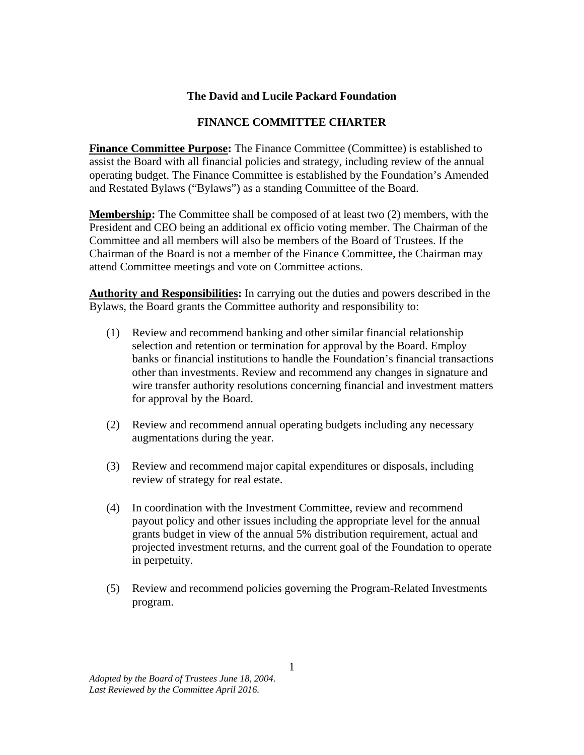## **The David and Lucile Packard Foundation**

## **FINANCE COMMITTEE CHARTER**

**Finance Committee Purpose:** The Finance Committee (Committee) is established to assist the Board with all financial policies and strategy, including review of the annual operating budget. The Finance Committee is established by the Foundation's Amended and Restated Bylaws ("Bylaws") as a standing Committee of the Board.

**Membership:** The Committee shall be composed of at least two (2) members, with the President and CEO being an additional ex officio voting member. The Chairman of the Committee and all members will also be members of the Board of Trustees. If the Chairman of the Board is not a member of the Finance Committee, the Chairman may attend Committee meetings and vote on Committee actions.

**Authority and Responsibilities:** In carrying out the duties and powers described in the Bylaws, the Board grants the Committee authority and responsibility to:

- (1) Review and recommend banking and other similar financial relationship selection and retention or termination for approval by the Board. Employ banks or financial institutions to handle the Foundation's financial transactions other than investments. Review and recommend any changes in signature and wire transfer authority resolutions concerning financial and investment matters for approval by the Board.
- (2) Review and recommend annual operating budgets including any necessary augmentations during the year.
- (3) Review and recommend major capital expenditures or disposals, including review of strategy for real estate.
- (4) In coordination with the Investment Committee, review and recommend payout policy and other issues including the appropriate level for the annual grants budget in view of the annual 5% distribution requirement, actual and projected investment returns, and the current goal of the Foundation to operate in perpetuity.
- (5) Review and recommend policies governing the Program-Related Investments program.

*Adopted by the Board of Trustees June 18, 2004. Last Reviewed by the Committee April 2016.*